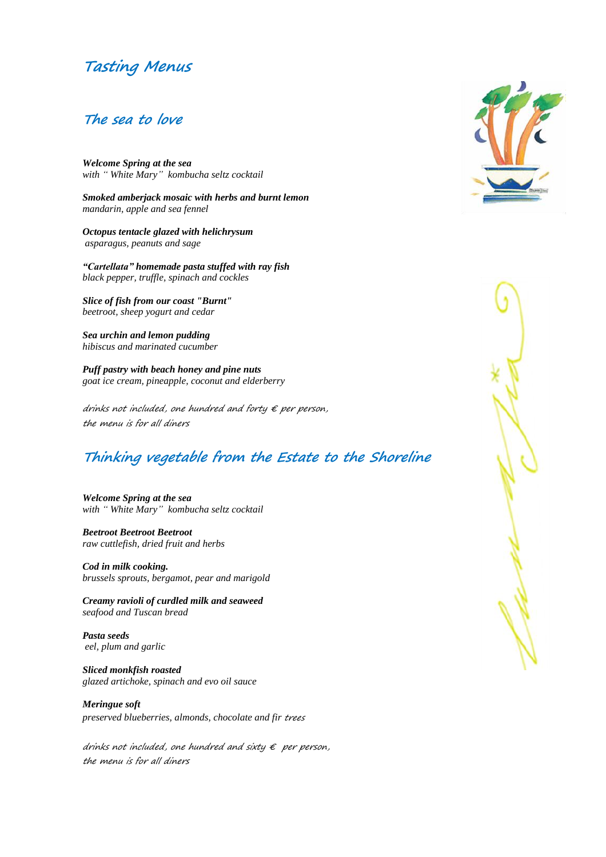# **Tasting Menus**

#### **The sea to love**

*Welcome Spring at the sea with " White Mary" kombucha seltz cocktail*

*Smoked amberjack mosaic with herbs and burnt lemon mandarin, apple and sea fennel*

*Octopus tentacle glazed with helichrysum asparagus, peanuts and sage*

*"Cartellata" homemade pasta stuffed with ray fish black pepper, truffle, spinach and cockles*

*Slice of fish from our coast "Burnt" beetroot, sheep yogurt and cedar*

*Sea urchin and lemon pudding hibiscus and marinated cucumber*

*Puff pastry with beach honey and pine nuts goat ice cream, pineapple, coconut and elderberry*

drinks not included, one hundred and forty  $\epsilon$  per person, the menu is for all diners

# **Thinking vegetable from the Estate to the Shoreline**

*Welcome Spring at the sea with " White Mary" kombucha seltz cocktail*

*Beetroot Beetroot Beetroot raw cuttlefish, dried fruit and herbs*

*Cod in milk cooking. brussels sprouts, bergamot, pear and marigold*

*Creamy ravioli of curdled milk and seaweed seafood and Tuscan bread*

*Pasta seeds eel, plum and garlic*

*Sliced monkfish roasted glazed artichoke, spinach and evo oil sauce*

*Meringue soft preserved blueberries, almonds, chocolate and fir* trees

drinks not included, one hundred and sixty  $\epsilon$  per person, the menu is for all diners